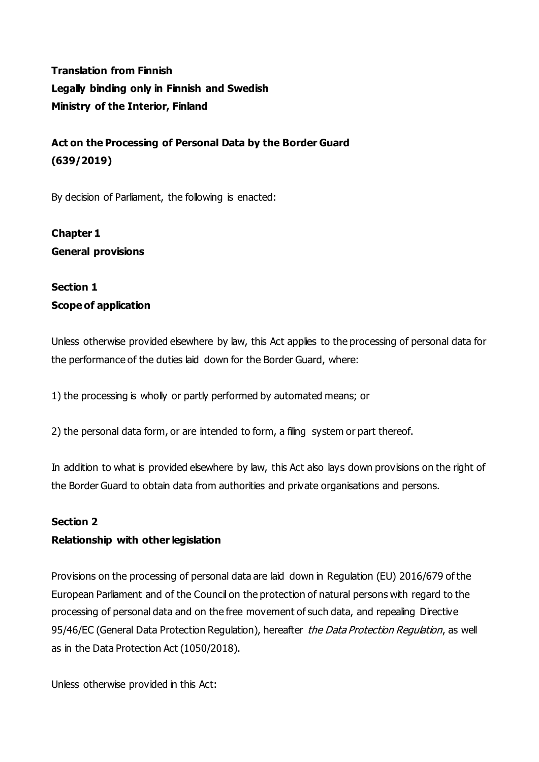**Translation from Finnish Legally binding only in Finnish and Swedish Ministry of the Interior, Finland**

**Act on the Processing of Personal Data by the Border Guard (639/2019)**

By decision of Parliament, the following is enacted:

**Chapter 1 General provisions**

# **Section 1 Scope of application**

Unless otherwise provided elsewhere by law, this Act applies to the processing of personal data for the performance of the duties laid down for the Border Guard, where:

1) the processing is wholly or partly performed by automated means; or

2) the personal data form, or are intended to form, a filing system or part thereof.

In addition to what is provided elsewhere by law, this Act also lays down provisions on the right of the Border Guard to obtain data from authorities and private organisations and persons.

### **Section 2**

## **Relationship with other legislation**

Provisions on the processing of personal data are laid down in Regulation (EU) 2016/679 of the European Parliament and of the Council on the protection of natural persons with regard to the processing of personal data and on the free movement of such data, and repealing Directive 95/46/EC (General Data Protection Regulation), hereafter the Data Protection Regulation, as well as in the Data Protection Act (1050/2018).

Unless otherwise provided in this Act: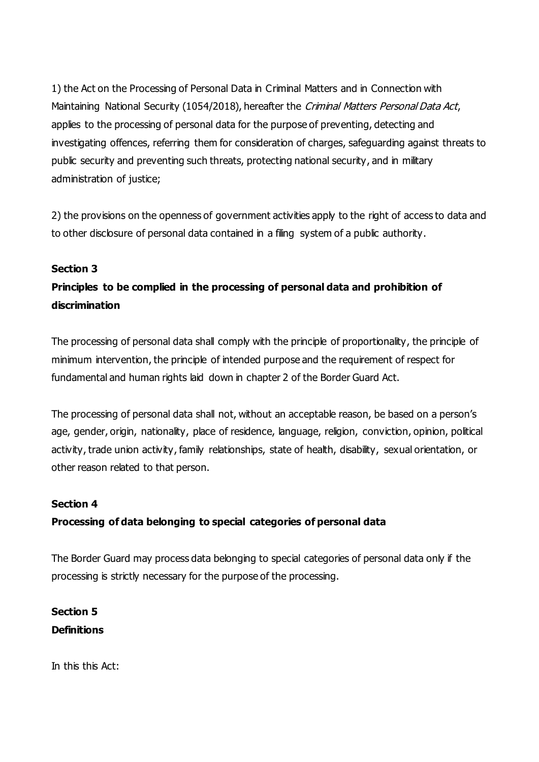1) the Act on the Processing of Personal Data in Criminal Matters and in Connection with Maintaining National Security (1054/2018), hereafter the Criminal Matters Personal Data Act, applies to the processing of personal data for the purpose of preventing, detecting and investigating offences, referring them for consideration of charges, safeguarding against threats to public security and preventing such threats, protecting national security, and in military administration of justice;

2) the provisions on the openness of government activities apply to the right of access to data and to other disclosure of personal data contained in a filing system of a public authority.

### **Section 3**

# **Principles to be complied in the processing of personal data and prohibition of discrimination**

The processing of personal data shall comply with the principle of proportionality, the principle of minimum intervention, the principle of intended purpose and the requirement of respect for fundamental and human rights laid down in chapter 2 of the Border Guard Act.

The processing of personal data shall not, without an acceptable reason, be based on a person's age, gender, origin, nationality, place of residence, language, religion, conviction, opinion, political activity, trade union activity, family relationships, state of health, disability, sexual orientation, or other reason related to that person.

#### **Section 4**

### **Processing of data belonging to special categories of personal data**

The Border Guard may process data belonging to special categories of personal data only if the processing is strictly necessary for the purpose of the processing.

**Section 5 Definitions**

In this this Act: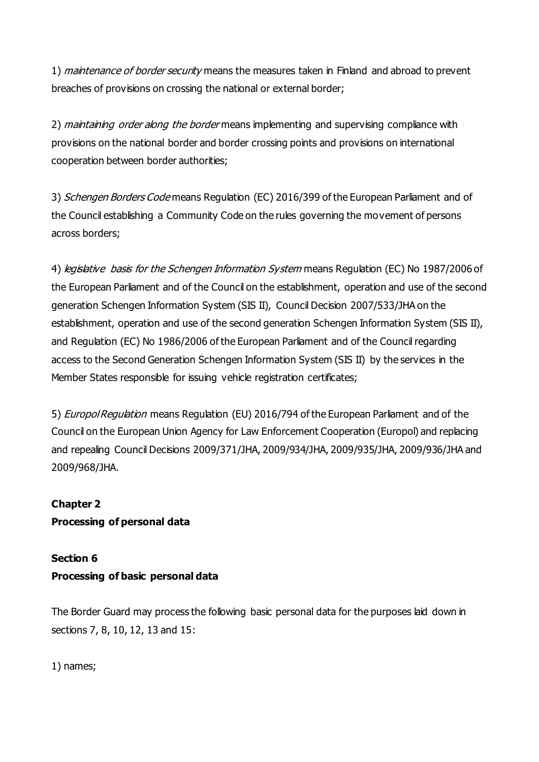1) *maintenance of border security* means the measures taken in Finland and abroad to prevent breaches of provisions on crossing the national or external border;

2) *maintaining order along the border* means implementing and supervising compliance with provisions on the national border and border crossing points and provisions on international cooperation between border authorities;

3) Schengen Borders Code means Regulation (EC) 2016/399 of the European Parliament and of the Council establishing a Community Code on the rules governing the movement of persons across borders;

4) *legislative basis for the Schengen Information System* means Regulation (EC) No 1987/2006 of the European Parliament and of the Council on the establishment, operation and use of the second generation Schengen Information System (SIS II), Council Decision 2007/533/JHA on the establishment, operation and use of the second generation Schengen Information System (SIS II), and Regulation (EC) No 1986/2006 of the European Parliament and of the Council regarding access to the Second Generation Schengen Information System (SIS II) by the services in the Member States responsible for issuing vehicle registration certificates;

5) *Europol Regulation* means Regulation (EU) 2016/794 of the European Parliament and of the Council on the European Union Agency for Law Enforcement Cooperation (Europol) and replacing and repealing Council Decisions 2009/371/JHA, 2009/934/JHA, 2009/935/JHA, 2009/936/JHA and 2009/968/JHA.

# **Chapter 2**

**Processing of personal data**

## **Section 6**

## **Processing of basic personal data**

The Border Guard may process the following basic personal data for the purposes laid down in sections 7, 8, 10, 12, 13 and 15:

1) names;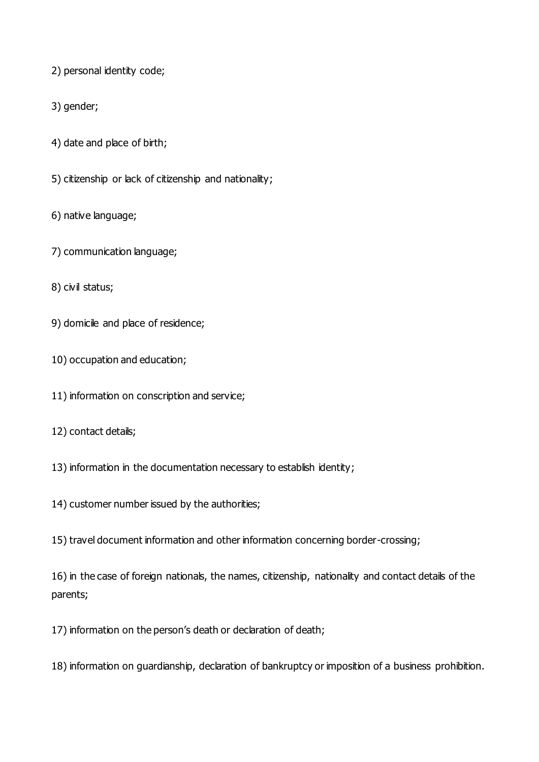2) personal identity code;

3) gender;

4) date and place of birth;

5) citizenship or lack of citizenship and nationality;

6) native language;

7) communication language;

8) civil status;

9) domicile and place of residence;

10) occupation and education;

11) information on conscription and service;

12) contact details;

13) information in the documentation necessary to establish identity;

14) customer number issued by the authorities;

15) travel document information and other information concerning border-crossing;

16) in the case of foreign nationals, the names, citizenship, nationality and contact details of the parents;

17) information on the person's death or declaration of death;

18) information on guardianship, declaration of bankruptcy or imposition of a business prohibition.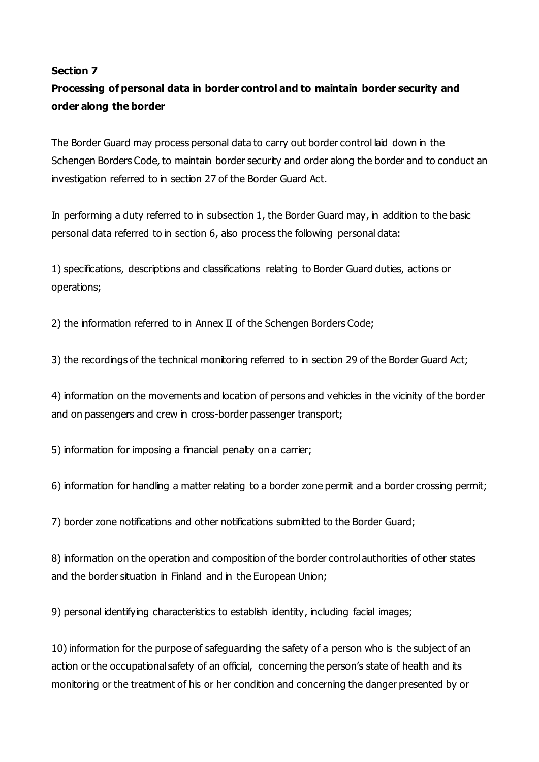#### **Section 7**

# **Processing of personal data in border control and to maintain border security and order along the border**

The Border Guard may process personal data to carry out border control laid down in the Schengen Borders Code, to maintain border security and order along the border and to conduct an investigation referred to in section 27 of the Border Guard Act.

In performing a duty referred to in subsection 1, the Border Guard may, in addition to the basic personal data referred to in section 6, also process the following personal data:

1) specifications, descriptions and classifications relating to Border Guard duties, actions or operations;

2) the information referred to in Annex II of the Schengen Borders Code;

3) the recordings of the technical monitoring referred to in section 29 of the Border Guard Act;

4) information on the movements and location of persons and vehicles in the vicinity of the border and on passengers and crew in cross-border passenger transport;

5) information for imposing a financial penalty on a carrier;

6) information for handling a matter relating to a border zone permit and a border crossing permit;

7) border zone notifications and other notifications submitted to the Border Guard;

8) information on the operation and composition of the border control authorities of other states and the border situation in Finland and in the European Union;

9) personal identifying characteristics to establish identity, including facial images;

10) information for the purpose of safeguarding the safety of a person who is the subject of an action or the occupational safety of an official, concerning the person's state of health and its monitoring or the treatment of his or her condition and concerning the danger presented by or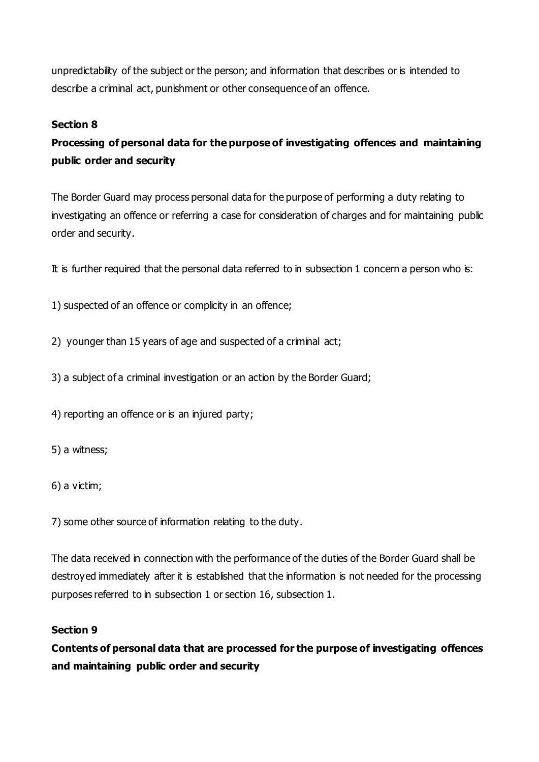unpredictability of the subject or the person; and information that describes or is intended to describe a criminal act, punishment or other consequence of an offence.

## **Section 8**

# **Processing of personal data for the purpose of investigating offences and maintaining public order and security**

The Border Guard may process personal data for the purpose of performing a duty relating to investigating an offence or referring a case for consideration of charges and for maintaining public order and security.

It is further required that the personal data referred to in subsection 1 concern a person who is:

1) suspected of an offence or complicity in an offence;

2) younger than 15 years of age and suspected of a criminal act;

3) a subject of a criminal investigation or an action by the Border Guard;

4) reporting an offence or is an injured party;

5) a witness;

6) a victim;

7) some other source of information relating to the duty.

The data received in connection with the performance of the duties of the Border Guard shall be destroyed immediately after it is established that the information is not needed for the processing purposes referred to in subsection 1 or section 16, subsection 1.

### **Section 9**

**Contents of personal data that are processed for the purpose of investigating offences and maintaining public order and security**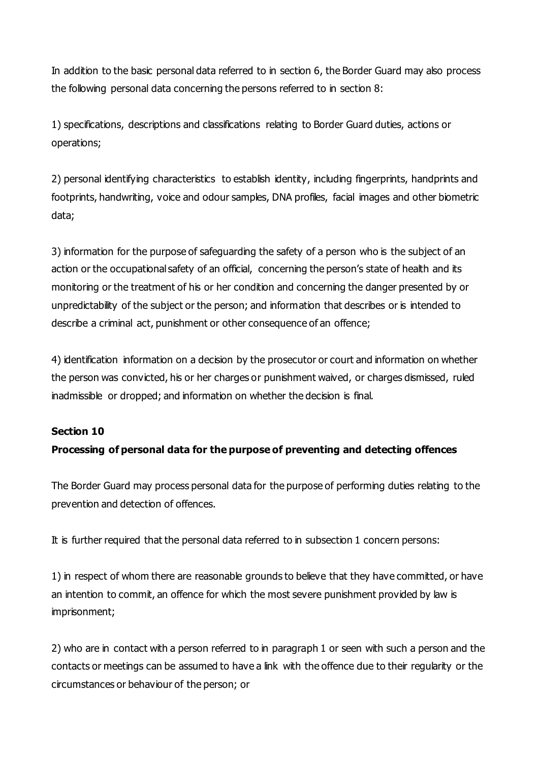In addition to the basic personal data referred to in section 6, the Border Guard may also process the following personal data concerning the persons referred to in section 8:

1) specifications, descriptions and classifications relating to Border Guard duties, actions or operations;

2) personal identifying characteristics to establish identity, including fingerprints, handprints and footprints, handwriting, voice and odour samples, DNA profiles, facial images and other biometric data;

3) information for the purpose of safeguarding the safety of a person who is the subject of an action or the occupational safety of an official, concerning the person's state of health and its monitoring or the treatment of his or her condition and concerning the danger presented by or unpredictability of the subject or the person; and information that describes or is intended to describe a criminal act, punishment or other consequence of an offence;

4) identification information on a decision by the prosecutor or court and information on whether the person was convicted, his or her charges or punishment waived, or charges dismissed, ruled inadmissible or dropped; and information on whether the decision is final.

### **Section 10**

### **Processing of personal data for the purpose of preventing and detecting offences**

The Border Guard may process personal data for the purpose of performing duties relating to the prevention and detection of offences.

It is further required that the personal data referred to in subsection 1 concern persons:

1) in respect of whom there are reasonable grounds to believe that they have committed, or have an intention to commit, an offence for which the most severe punishment provided by law is imprisonment;

2) who are in contact with a person referred to in paragraph 1 or seen with such a person and the contacts or meetings can be assumed to have a link with the offence due to their regularity or the circumstances or behaviour of the person; or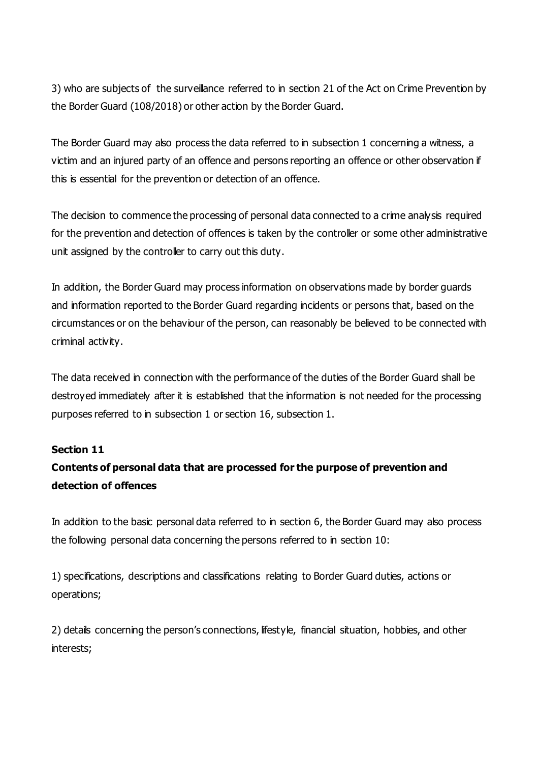3) who are subjects of the surveillance referred to in section 21 of the Act on Crime Prevention by the Border Guard (108/2018) or other action by the Border Guard.

The Border Guard may also process the data referred to in subsection 1 concerning a witness, a victim and an injured party of an offence and persons reporting an offence or other observation if this is essential for the prevention or detection of an offence.

The decision to commence the processing of personal data connected to a crime analysis required for the prevention and detection of offences is taken by the controller or some other administrative unit assigned by the controller to carry out this duty.

In addition, the Border Guard may process information on observations made by border guards and information reported to the Border Guard regarding incidents or persons that, based on the circumstances or on the behaviour of the person, can reasonably be believed to be connected with criminal activity.

The data received in connection with the performance of the duties of the Border Guard shall be destroyed immediately after it is established that the information is not needed for the processing purposes referred to in subsection 1 or section 16, subsection 1.

### **Section 11**

# **Contents of personal data that are processed for the purpose of prevention and detection of offences**

In addition to the basic personal data referred to in section 6, the Border Guard may also process the following personal data concerning the persons referred to in section 10:

1) specifications, descriptions and classifications relating to Border Guard duties, actions or operations;

2) details concerning the person's connections, lifestyle, financial situation, hobbies, and other interests;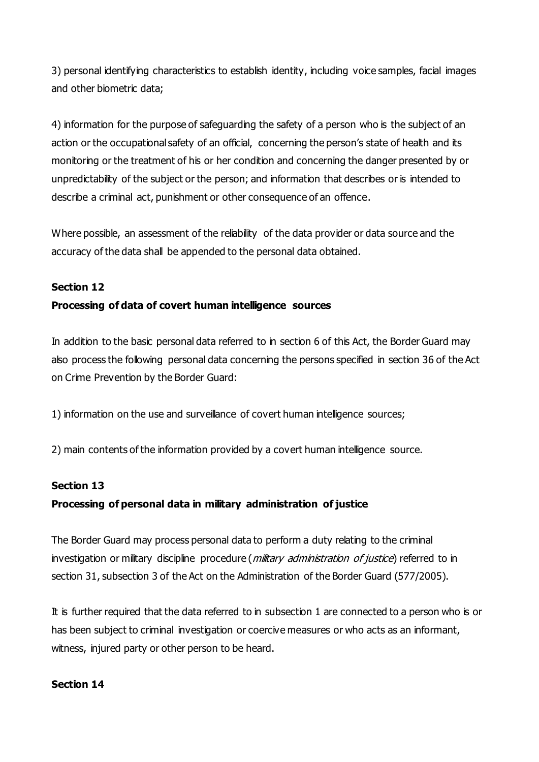3) personal identifying characteristics to establish identity, including voice samples, facial images and other biometric data;

4) information for the purpose of safeguarding the safety of a person who is the subject of an action or the occupational safety of an official, concerning the person's state of health and its monitoring or the treatment of his or her condition and concerning the danger presented by or unpredictability of the subject or the person; and information that describes or is intended to describe a criminal act, punishment or other consequence of an offence.

Where possible, an assessment of the reliability of the data provider or data source and the accuracy of the data shall be appended to the personal data obtained.

### **Section 12**

### **Processing of data of covert human intelligence sources**

In addition to the basic personal data referred to in section 6 of this Act, the Border Guard may also process the following personal data concerning the persons specified in section 36 of the Act on Crime Prevention by the Border Guard:

1) information on the use and surveillance of covert human intelligence sources;

2) main contents of the information provided by a covert human intelligence source.

#### **Section 13**

### **Processing of personal data in military administration of justice**

The Border Guard may process personal data to perform a duty relating to the criminal investigation or military discipline procedure (*military administration of justice*) referred to in section 31, subsection 3 of the Act on the Administration of the Border Guard (577/2005).

It is further required that the data referred to in subsection 1 are connected to a person who is or has been subject to criminal investigation or coercive measures or who acts as an informant, witness, injured party or other person to be heard.

#### **Section 14**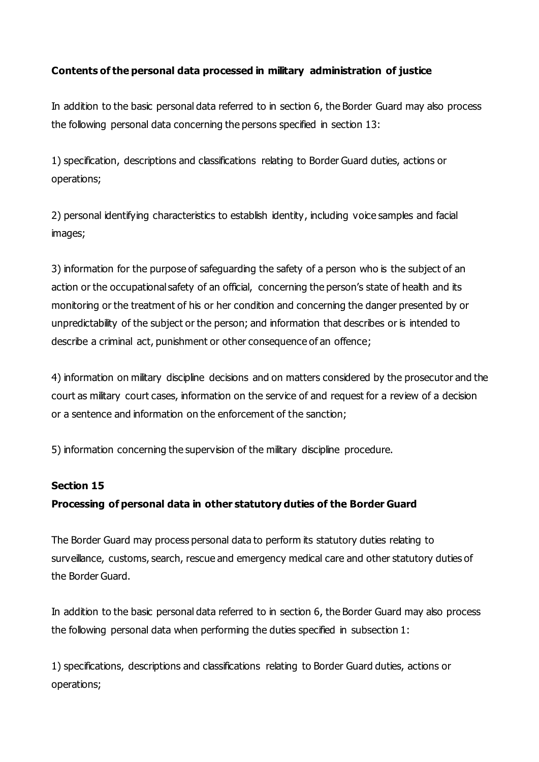## **Contents of the personal data processed in military administration of justice**

In addition to the basic personal data referred to in section 6, the Border Guard may also process the following personal data concerning the persons specified in section 13:

1) specification, descriptions and classifications relating to Border Guard duties, actions or operations;

2) personal identifying characteristics to establish identity, including voice samples and facial images;

3) information for the purpose of safeguarding the safety of a person who is the subject of an action or the occupational safety of an official, concerning the person's state of health and its monitoring or the treatment of his or her condition and concerning the danger presented by or unpredictability of the subject or the person; and information that describes or is intended to describe a criminal act, punishment or other consequence of an offence;

4) information on military discipline decisions and on matters considered by the prosecutor and the court as military court cases, information on the service of and request for a review of a decision or a sentence and information on the enforcement of the sanction;

5) information concerning the supervision of the military discipline procedure.

### **Section 15**

## **Processing of personal data in other statutory duties of the Border Guard**

The Border Guard may process personal data to perform its statutory duties relating to surveillance, customs, search, rescue and emergency medical care and other statutory duties of the Border Guard.

In addition to the basic personal data referred to in section 6, the Border Guard may also process the following personal data when performing the duties specified in subsection 1:

1) specifications, descriptions and classifications relating to Border Guard duties, actions or operations;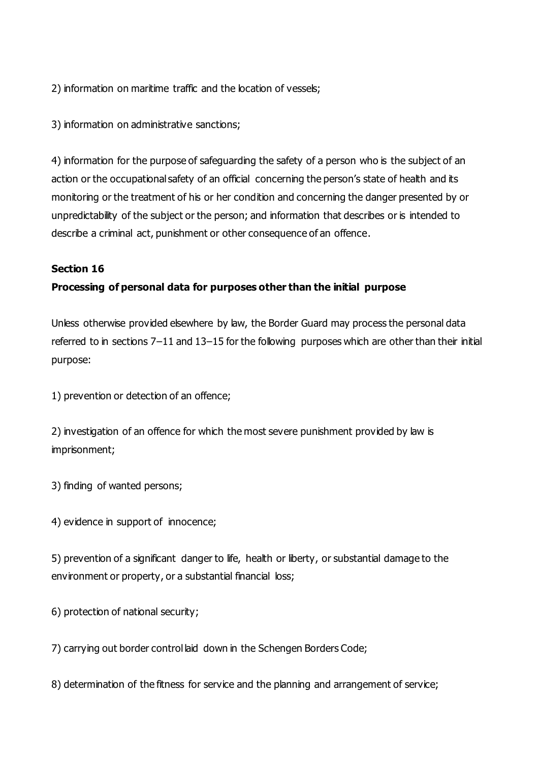2) information on maritime traffic and the location of vessels;

3) information on administrative sanctions;

4) information for the purpose of safeguarding the safety of a person who is the subject of an action or the occupational safety of an official concerning the person's state of health and its monitoring or the treatment of his or her condition and concerning the danger presented by or unpredictability of the subject or the person; and information that describes or is intended to describe a criminal act, punishment or other consequence of an offence.

## **Section 16**

## **Processing of personal data for purposes other than the initial purpose**

Unless otherwise provided elsewhere by law, the Border Guard may process the personal data referred to in sections 7–11 and 13–15 for the following purposes which are other than their initial purpose:

1) prevention or detection of an offence;

2) investigation of an offence for which the most severe punishment provided by law is imprisonment;

3) finding of wanted persons;

4) evidence in support of innocence;

5) prevention of a significant danger to life, health or liberty, or substantial damage to the environment or property, or a substantial financial loss;

6) protection of national security;

7) carrying out border control laid down in the Schengen Borders Code;

8) determination of the fitness for service and the planning and arrangement of service;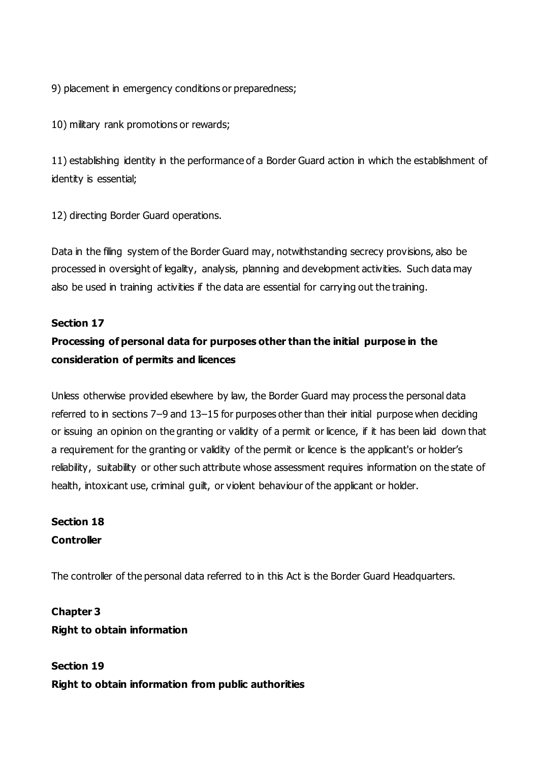9) placement in emergency conditions or preparedness;

10) military rank promotions or rewards;

11) establishing identity in the performance of a Border Guard action in which the establishment of identity is essential;

12) directing Border Guard operations.

Data in the filing system of the Border Guard may, notwithstanding secrecy provisions, also be processed in oversight of legality, analysis, planning and development activities. Such data may also be used in training activities if the data are essential for carrying out the training.

## **Section 17**

# **Processing of personal data for purposes other than the initial purpose in the consideration of permits and licences**

Unless otherwise provided elsewhere by law, the Border Guard may process the personal data referred to in sections 7–9 and 13–15 for purposes other than their initial purpose when deciding or issuing an opinion on the granting or validity of a permit or licence, if it has been laid down that a requirement for the granting or validity of the permit or licence is the applicant's or holder's reliability, suitability or other such attribute whose assessment requires information on the state of health, intoxicant use, criminal guilt, or violent behaviour of the applicant or holder.

# **Section 18 Controller**

The controller of the personal data referred to in this Act is the Border Guard Headquarters.

**Chapter 3 Right to obtain information**

**Section 19 Right to obtain information from public authorities**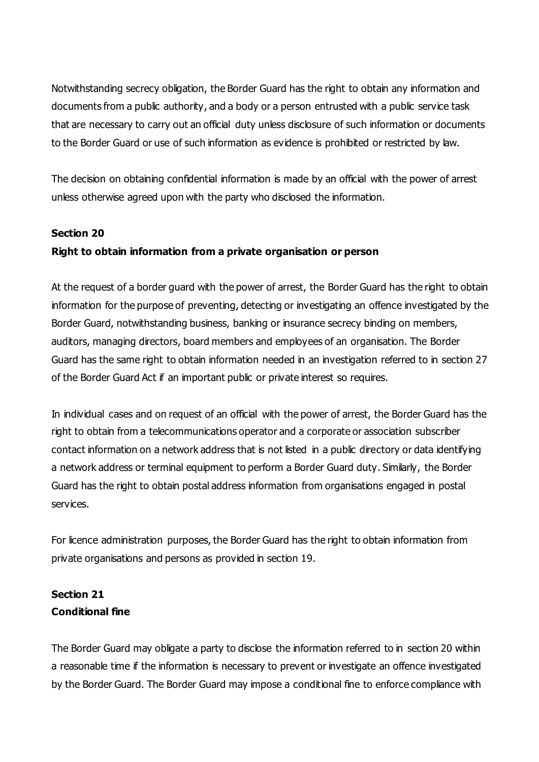Notwithstanding secrecy obligation, the Border Guard has the right to obtain any information and documents from a public authority, and a body or a person entrusted with a public service task that are necessary to carry out an official duty unless disclosure of such information or documents to the Border Guard or use of such information as evidence is prohibited or restricted by law.

The decision on obtaining confidential information is made by an official with the power of arrest unless otherwise agreed upon with the party who disclosed the information.

### **Section 20**

### **Right to obtain information from a private organisation or person**

At the request of a border guard with the power of arrest, the Border Guard has the right to obtain information for the purpose of preventing, detecting or investigating an offence investigated by the Border Guard, notwithstanding business, banking or insurance secrecy binding on members, auditors, managing directors, board members and employees of an organisation. The Border Guard has the same right to obtain information needed in an investigation referred to in section 27 of the Border Guard Act if an important public or private interest so requires.

In individual cases and on request of an official with the power of arrest, the Border Guard has the right to obtain from a telecommunications operator and a corporate or association subscriber contact information on a network address that is not listed in a public directory or data identifying a network address or terminal equipment to perform a Border Guard duty. Similarly, the Border Guard has the right to obtain postal address information from organisations engaged in postal services.

For licence administration purposes, the Border Guard has the right to obtain information from private organisations and persons as provided in section 19.

## **Section 21 Conditional fine**

The Border Guard may obligate a party to disclose the information referred to in section 20 within a reasonable time if the information is necessary to prevent or investigate an offence investigated by the Border Guard. The Border Guard may impose a conditional fine to enforce compliance with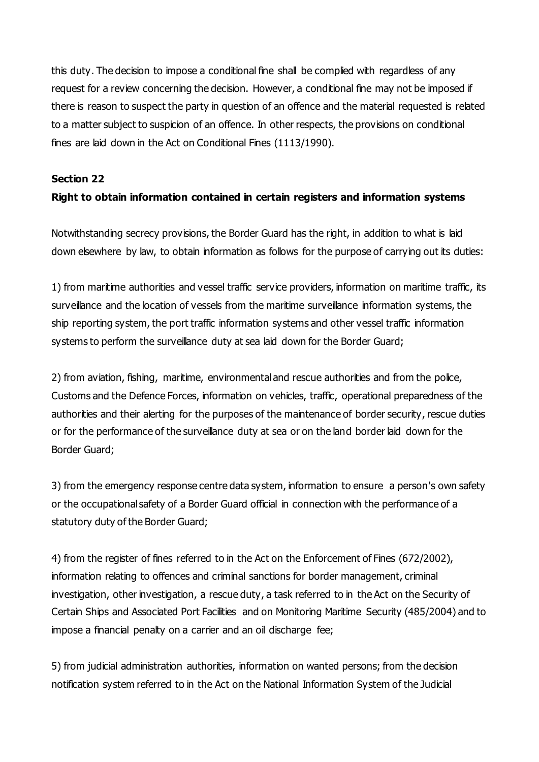this duty. The decision to impose a conditional fine shall be complied with regardless of any request for a review concerning the decision. However, a conditional fine may not be imposed if there is reason to suspect the party in question of an offence and the material requested is related to a matter subject to suspicion of an offence. In other respects, the provisions on conditional fines are laid down in the Act on Conditional Fines (1113/1990).

#### **Section 22**

## **Right to obtain information contained in certain registers and information systems**

Notwithstanding secrecy provisions, the Border Guard has the right, in addition to what is laid down elsewhere by law, to obtain information as follows for the purpose of carrying out its duties:

1) from maritime authorities and vessel traffic service providers, information on maritime traffic, its surveillance and the location of vessels from the maritime surveillance information systems, the ship reporting system, the port traffic information systems and other vessel traffic information systems to perform the surveillance duty at sea laid down for the Border Guard;

2) from aviation, fishing, maritime, environmental and rescue authorities and from the police, Customs and the Defence Forces, information on vehicles, traffic, operational preparedness of the authorities and their alerting for the purposes of the maintenance of border security, rescue duties or for the performance of the surveillance duty at sea or on the land border laid down for the Border Guard;

3) from the emergency response centre data system, information to ensure a person's own safety or the occupational safety of a Border Guard official in connection with the performance of a statutory duty of the Border Guard;

4) from the register of fines referred to in the Act on the Enforcement of Fines (672/2002), information relating to offences and criminal sanctions for border management, criminal investigation, other investigation, a rescue duty, a task referred to in the Act on the Security of Certain Ships and Associated Port Facilities and on Monitoring Maritime Security (485/2004) and to impose a financial penalty on a carrier and an oil discharge fee;

5) from judicial administration authorities, information on wanted persons; from the decision notification system referred to in the Act on the National Information System of the Judicial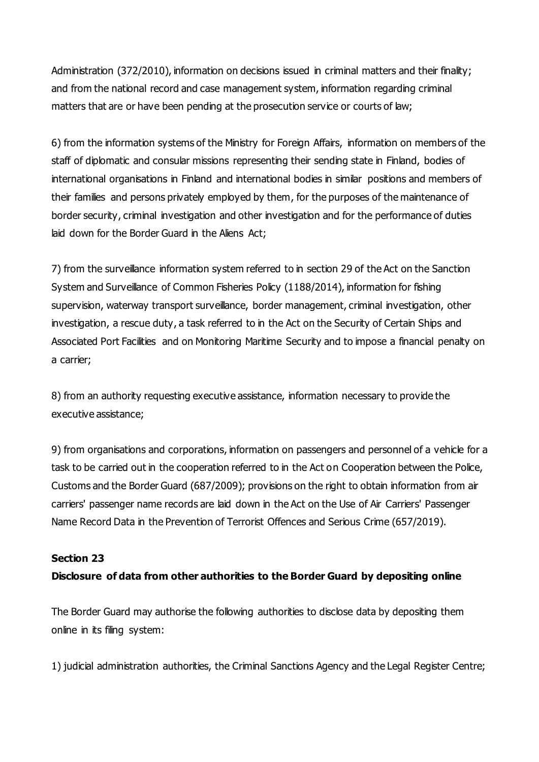Administration (372/2010), information on decisions issued in criminal matters and their finality; and from the national record and case management system, information regarding criminal matters that are or have been pending at the prosecution service or courts of law;

6) from the information systems of the Ministry for Foreign Affairs, information on members of the staff of diplomatic and consular missions representing their sending state in Finland, bodies of international organisations in Finland and international bodies in similar positions and members of their families and persons privately employed by them, for the purposes of the maintenance of border security, criminal investigation and other investigation and for the performance of duties laid down for the Border Guard in the Aliens Act;

7) from the surveillance information system referred to in section 29 of the Act on the Sanction System and Surveillance of Common Fisheries Policy (1188/2014), information for fishing supervision, waterway transport surveillance, border management, criminal investigation, other investigation, a rescue duty, a task referred to in the Act on the Security of Certain Ships and Associated Port Facilities and on Monitoring Maritime Security and to impose a financial penalty on a carrier;

8) from an authority requesting executive assistance, information necessary to provide the executive assistance;

9) from organisations and corporations, information on passengers and personnel of a vehicle for a task to be carried out in the cooperation referred to in the Act on Cooperation between the Police, Customs and the Border Guard (687/2009); provisions on the right to obtain information from air carriers' passenger name records are laid down in the Act on the Use of Air Carriers' Passenger Name Record Data in the Prevention of Terrorist Offences and Serious Crime (657/2019).

### **Section 23**

### **Disclosure of data from other authorities to the Border Guard by depositing online**

The Border Guard may authorise the following authorities to disclose data by depositing them online in its filing system:

1) judicial administration authorities, the Criminal Sanctions Agency and the Legal Register Centre;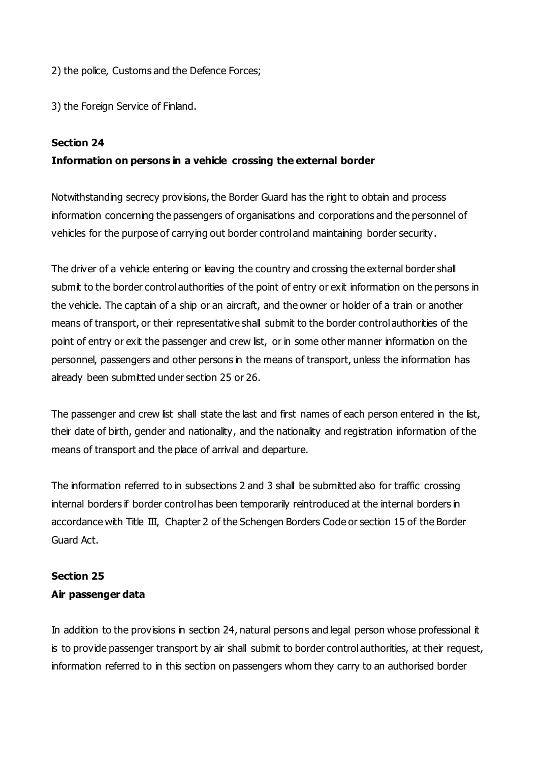2) the police, Customs and the Defence Forces;

3) the Foreign Service of Finland.

#### **Section 24**

### **Information on persons in a vehicle crossing the external border**

Notwithstanding secrecy provisions, the Border Guard has the right to obtain and process information concerning the passengers of organisations and corporations and the personnel of vehicles for the purpose of carrying out border control and maintaining border security.

The driver of a vehicle entering or leaving the country and crossing the external border shall submit to the border control authorities of the point of entry or exit information on the persons in the vehicle. The captain of a ship or an aircraft, and the owner or holder of a train or another means of transport, or their representative shall submit to the border control authorities of the point of entry or exit the passenger and crew list, or in some other manner information on the personnel, passengers and other persons in the means of transport, unless the information has already been submitted under section 25 or 26.

The passenger and crew list shall state the last and first names of each person entered in the list, their date of birth, gender and nationality, and the nationality and registration information of the means of transport and the place of arrival and departure.

The information referred to in subsections 2 and 3 shall be submitted also for traffic crossing internal borders if border control has been temporarily reintroduced at the internal borders in accordance with Title III, Chapter 2 of the Schengen Borders Code or section 15 of the Border Guard Act.

## **Section 25**

### **Air passenger data**

In addition to the provisions in section 24, natural persons and legal person whose professional it is to provide passenger transport by air shall submit to border control authorities, at their request, information referred to in this section on passengers whom they carry to an authorised border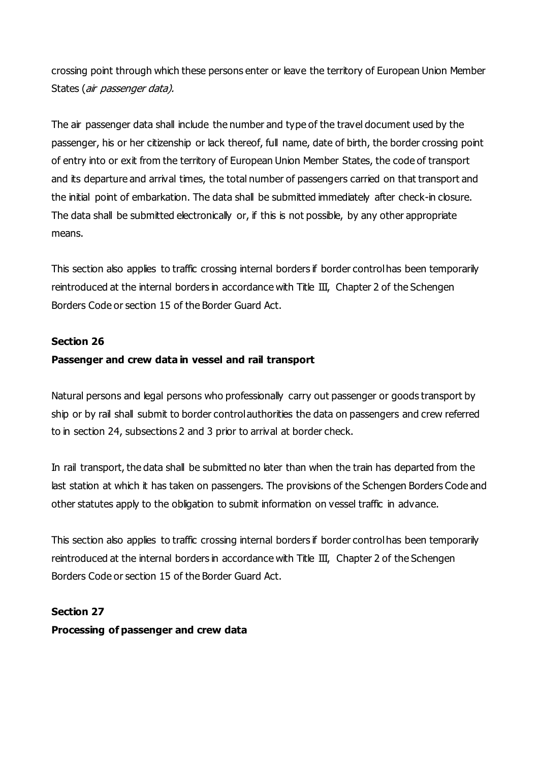crossing point through which these persons enter or leave the territory of European Union Member States (air passenger data).

The air passenger data shall include the number and type of the travel document used by the passenger, his or her citizenship or lack thereof, full name, date of birth, the border crossing point of entry into or exit from the territory of European Union Member States, the code of transport and its departure and arrival times, the total number of passengers carried on that transport and the initial point of embarkation. The data shall be submitted immediately after check-in closure. The data shall be submitted electronically or, if this is not possible, by any other appropriate means.

This section also applies to traffic crossing internal borders if border control has been temporarily reintroduced at the internal borders in accordance with Title III, Chapter 2 of the Schengen Borders Code or section 15 of the Border Guard Act.

#### **Section 26**

#### **Passenger and crew data in vessel and rail transport**

Natural persons and legal persons who professionally carry out passenger or goods transport by ship or by rail shall submit to border control authorities the data on passengers and crew referred to in section 24, subsections 2 and 3 prior to arrival at border check.

In rail transport, the data shall be submitted no later than when the train has departed from the last station at which it has taken on passengers. The provisions of the Schengen Borders Code and other statutes apply to the obligation to submit information on vessel traffic in advance.

This section also applies to traffic crossing internal borders if border control has been temporarily reintroduced at the internal borders in accordance with Title III, Chapter 2 of the Schengen Borders Code or section 15 of the Border Guard Act.

**Section 27 Processing of passenger and crew data**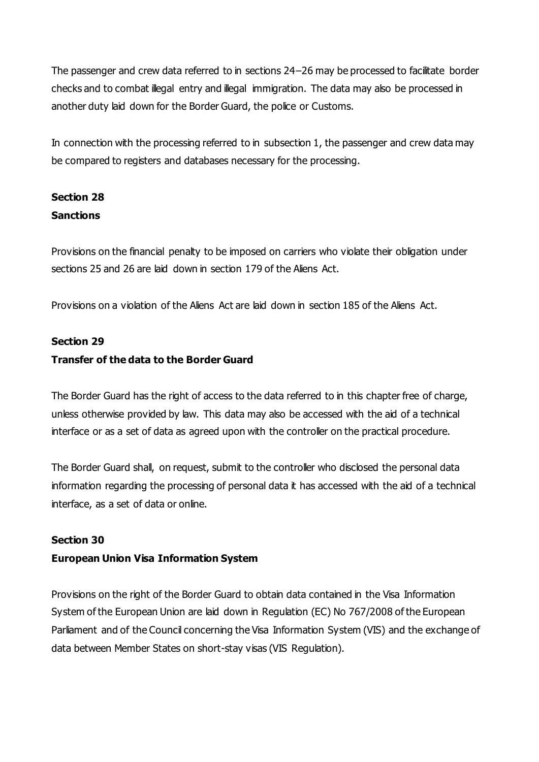The passenger and crew data referred to in sections 24–26 may be processed to facilitate border checks and to combat illegal entry and illegal immigration. The data may also be processed in another duty laid down for the Border Guard, the police or Customs.

In connection with the processing referred to in subsection 1, the passenger and crew data may be compared to registers and databases necessary for the processing.

# **Section 28 Sanctions**

Provisions on the financial penalty to be imposed on carriers who violate their obligation under sections 25 and 26 are laid down in section 179 of the Aliens Act.

Provisions on a violation of the Aliens Act are laid down in section 185 of the Aliens Act.

## **Section 29**

## **Transfer of the data to the Border Guard**

The Border Guard has the right of access to the data referred to in this chapter free of charge, unless otherwise provided by law. This data may also be accessed with the aid of a technical interface or as a set of data as agreed upon with the controller on the practical procedure.

The Border Guard shall, on request, submit to the controller who disclosed the personal data information regarding the processing of personal data it has accessed with the aid of a technical interface, as a set of data or online.

### **Section 30**

### **European Union Visa Information System**

Provisions on the right of the Border Guard to obtain data contained in the Visa Information System of the European Union are laid down in Regulation (EC) No 767/2008 of the European Parliament and of the Council concerning the Visa Information System (VIS) and the exchange of data between Member States on short-stay visas (VIS Regulation).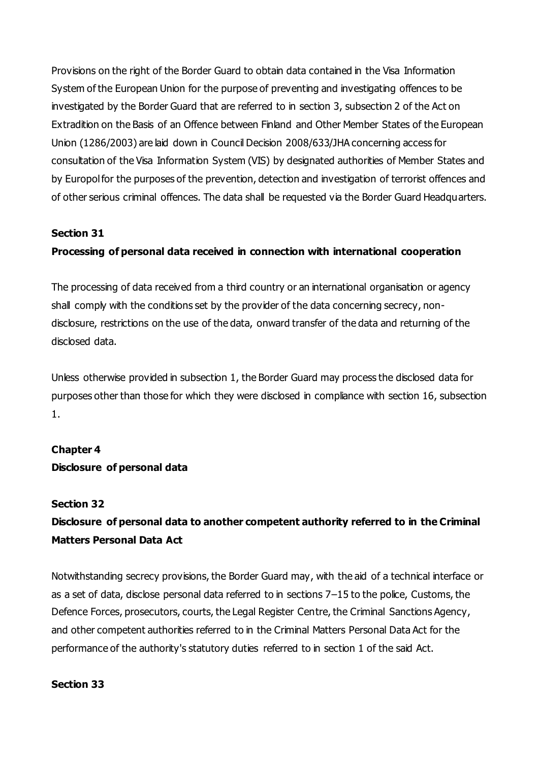Provisions on the right of the Border Guard to obtain data contained in the Visa Information System of the European Union for the purpose of preventing and investigating offences to be investigated by the Border Guard that are referred to in section 3, subsection 2 of the Act on Extradition on the Basis of an Offence between Finland and Other Member States of the European Union (1286/2003) are laid down in Council Decision 2008/633/JHA concerning access for consultation of the Visa Information System (VIS) by designated authorities of Member States and by Europol for the purposes of the prevention, detection and investigation of terrorist offences and of other serious criminal offences. The data shall be requested via the Border Guard Headquarters.

#### **Section 31**

#### **Processing of personal data received in connection with international cooperation**

The processing of data received from a third country or an international organisation or agency shall comply with the conditions set by the provider of the data concerning secrecy, nondisclosure, restrictions on the use of the data, onward transfer of the data and returning of the disclosed data.

Unless otherwise provided in subsection 1, the Border Guard may process the disclosed data for purposes other than those for which they were disclosed in compliance with section 16, subsection 1.

#### **Chapter 4**

### **Disclosure of personal data**

#### **Section 32**

## **Disclosure of personal data to another competent authority referred to in the Criminal Matters Personal Data Act**

Notwithstanding secrecy provisions, the Border Guard may, with the aid of a technical interface or as a set of data, disclose personal data referred to in sections 7–15 to the police, Customs, the Defence Forces, prosecutors, courts, the Legal Register Centre, the Criminal Sanctions Agency, and other competent authorities referred to in the Criminal Matters Personal Data Act for the performance of the authority's statutory duties referred to in section 1 of the said Act.

#### **Section 33**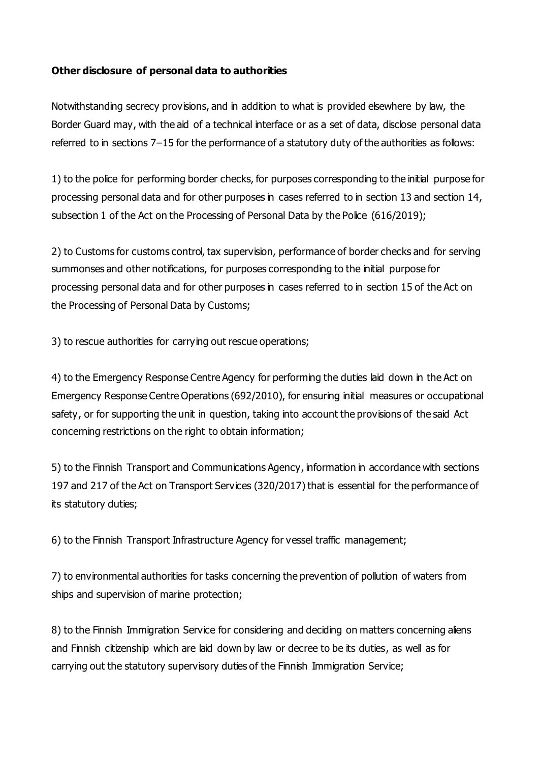## **Other disclosure of personal data to authorities**

Notwithstanding secrecy provisions, and in addition to what is provided elsewhere by law, the Border Guard may, with the aid of a technical interface or as a set of data, disclose personal data referred to in sections 7–15 for the performance of a statutory duty of the authorities as follows:

1) to the police for performing border checks, for purposes corresponding to the initial purpose for processing personal data and for other purposes in cases referred to in section 13 and section 14, subsection 1 of the Act on the Processing of Personal Data by the Police (616/2019);

2) to Customs for customs control, tax supervision, performance of border checks and for serving summonses and other notifications, for purposes corresponding to the initial purpose for processing personal data and for other purposes in cases referred to in section 15 of the Act on the Processing of Personal Data by Customs;

3) to rescue authorities for carrying out rescue operations;

4) to the Emergency Response Centre Agency for performing the duties laid down in the Act on Emergency Response Centre Operations (692/2010), for ensuring initial measures or occupational safety, or for supporting the unit in question, taking into account the provisions of the said Act concerning restrictions on the right to obtain information;

5) to the Finnish Transport and Communications Agency, information in accordance with sections 197 and 217 of the Act on Transport Services (320/2017) that is essential for the performance of its statutory duties;

6) to the Finnish Transport Infrastructure Agency for vessel traffic management;

7) to environmental authorities for tasks concerning the prevention of pollution of waters from ships and supervision of marine protection;

8) to the Finnish Immigration Service for considering and deciding on matters concerning aliens and Finnish citizenship which are laid down by law or decree to be its duties, as well as for carrying out the statutory supervisory duties of the Finnish Immigration Service;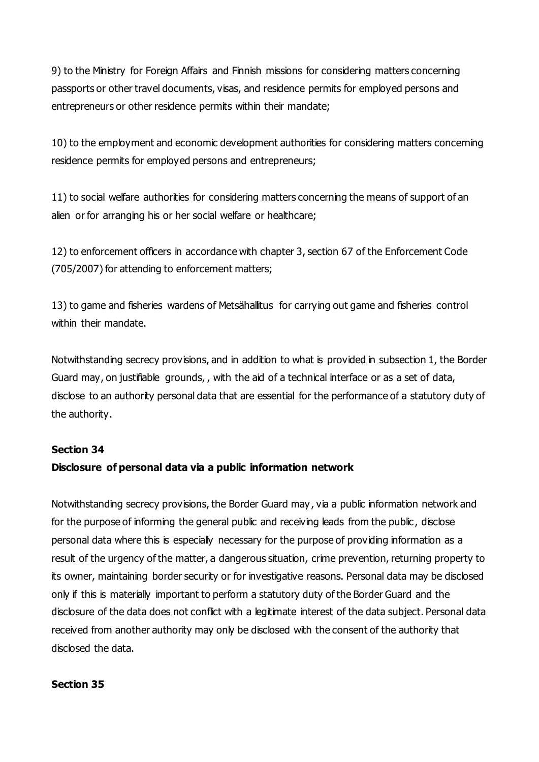9) to the Ministry for Foreign Affairs and Finnish missions for considering matters concerning passports or other travel documents, visas, and residence permits for employed persons and entrepreneurs or other residence permits within their mandate;

10) to the employment and economic development authorities for considering matters concerning residence permits for employed persons and entrepreneurs;

11) to social welfare authorities for considering matters concerning the means of support of an alien or for arranging his or her social welfare or healthcare;

12) to enforcement officers in accordance with chapter 3, section 67 of the Enforcement Code (705/2007) for attending to enforcement matters;

13) to game and fisheries wardens of Metsähallitus for carrying out game and fisheries control within their mandate.

Notwithstanding secrecy provisions, and in addition to what is provided in subsection 1, the Border Guard may, on justifiable grounds, , with the aid of a technical interface or as a set of data, disclose to an authority personal data that are essential for the performance of a statutory duty of the authority.

### **Section 34**

### **Disclosure of personal data via a public information network**

Notwithstanding secrecy provisions, the Border Guard may , via a public information network and for the purpose of informing the general public and receiving leads from the public , disclose personal data where this is especially necessary for the purpose of providing information as a result of the urgency of the matter, a dangerous situation, crime prevention, returning property to its owner, maintaining border security or for investigative reasons. Personal data may be disclosed only if this is materially important to perform a statutory duty of the Border Guard and the disclosure of the data does not conflict with a legitimate interest of the data subject. Personal data received from another authority may only be disclosed with the consent of the authority that disclosed the data.

### **Section 35**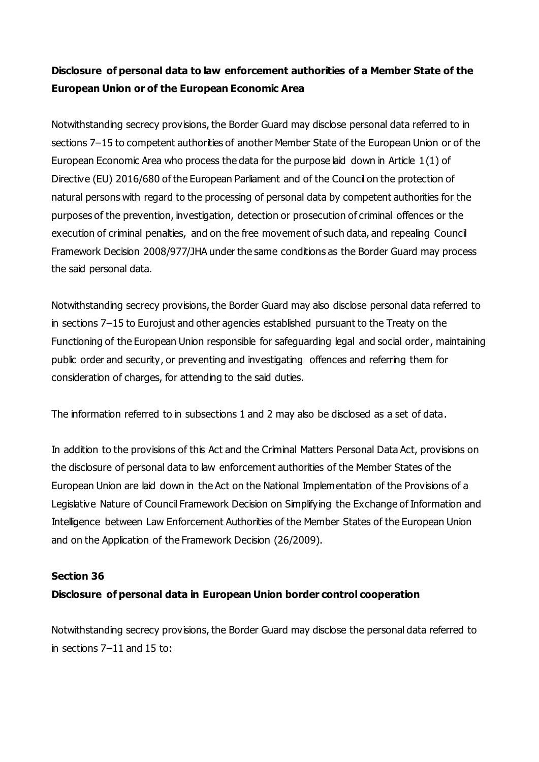# **Disclosure of personal data to law enforcement authorities of a Member State of the European Union or of the European Economic Area**

Notwithstanding secrecy provisions, the Border Guard may disclose personal data referred to in sections 7-15 to competent authorities of another Member State of the European Union or of the European Economic Area who process the data for the purpose laid down in Article 1(1) of Directive (EU) 2016/680 of the European Parliament and of the Council on the protection of natural persons with regard to the processing of personal data by competent authorities for the purposes of the prevention, investigation, detection or prosecution of criminal offences or the execution of criminal penalties, and on the free movement of such data, and repealing Council Framework Decision 2008/977/JHA under the same conditions as the Border Guard may process the said personal data.

Notwithstanding secrecy provisions, the Border Guard may also disclose personal data referred to in sections 7–15 to Eurojust and other agencies established pursuant to the Treaty on the Functioning of the European Union responsible for safeguarding legal and social order, maintaining public order and security, or preventing and investigating offences and referring them for consideration of charges, for attending to the said duties.

The information referred to in subsections 1 and 2 may also be disclosed as a set of data.

In addition to the provisions of this Act and the Criminal Matters Personal Data Act, provisions on the disclosure of personal data to law enforcement authorities of the Member States of the European Union are laid down in the Act on the National Implementation of the Provisions of a Legislative Nature of Council Framework Decision on Simplifying the Exchange of Information and Intelligence between Law Enforcement Authorities of the Member States of the European Union and on the Application of the Framework Decision (26/2009).

#### **Section 36**

#### **Disclosure of personal data in European Union border control cooperation**

Notwithstanding secrecy provisions, the Border Guard may disclose the personal data referred to in sections 7–11 and 15 to: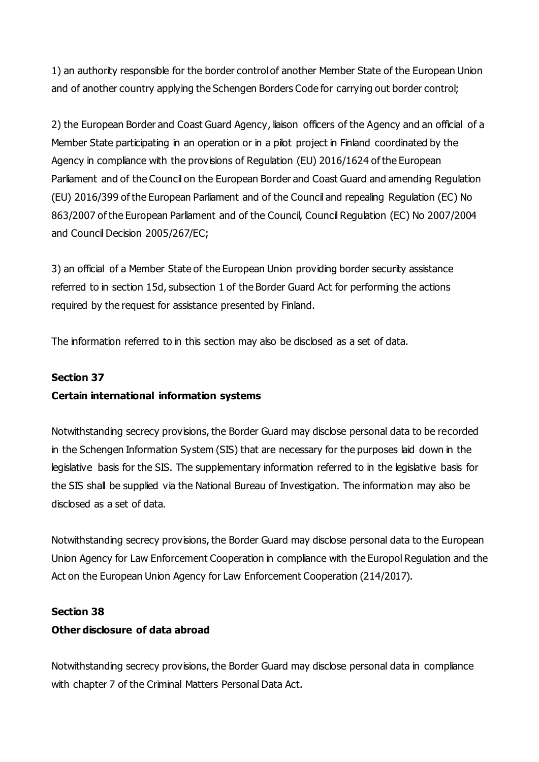1) an authority responsible for the border control of another Member State of the European Union and of another country applying the Schengen Borders Code for carrying out border control;

2) the European Border and Coast Guard Agency, liaison officers of the Agency and an official of a Member State participating in an operation or in a pilot project in Finland coordinated by the Agency in compliance with the provisions of Regulation (EU) 2016/1624 of the European Parliament and of the Council on the European Border and Coast Guard and amending Regulation (EU) 2016/399 of the European Parliament and of the Council and repealing Regulation (EC) No 863/2007 of the European Parliament and of the Council, Council Regulation (EC) No 2007/2004 and Council Decision 2005/267/EC;

3) an official of a Member State of the European Union providing border security assistance referred to in section 15d, subsection 1 of the Border Guard Act for performing the actions required by the request for assistance presented by Finland.

The information referred to in this section may also be disclosed as a set of data.

### **Section 37**

### **Certain international information systems**

Notwithstanding secrecy provisions, the Border Guard may disclose personal data to be recorded in the Schengen Information System (SIS) that are necessary for the purposes laid down in the legislative basis for the SIS. The supplementary information referred to in the legislative basis for the SIS shall be supplied via the National Bureau of Investigation. The information may also be disclosed as a set of data.

Notwithstanding secrecy provisions, the Border Guard may disclose personal data to the European Union Agency for Law Enforcement Cooperation in compliance with the Europol Regulation and the Act on the European Union Agency for Law Enforcement Cooperation (214/2017).

### **Section 38**

### **Other disclosure of data abroad**

Notwithstanding secrecy provisions, the Border Guard may disclose personal data in compliance with chapter 7 of the Criminal Matters Personal Data Act.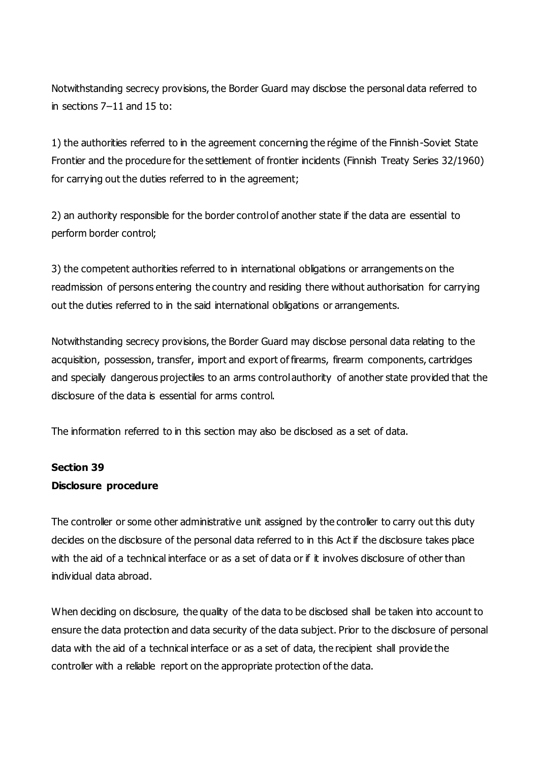Notwithstanding secrecy provisions, the Border Guard may disclose the personal data referred to in sections 7–11 and 15 to:

1) the authorities referred to in the agreement concerning the régime of the Finnish-Soviet State Frontier and the procedure for the settlement of frontier incidents (Finnish Treaty Series 32/1960) for carrying out the duties referred to in the agreement;

2) an authority responsible for the border control of another state if the data are essential to perform border control;

3) the competent authorities referred to in international obligations or arrangements on the readmission of persons entering the country and residing there without authorisation for carrying out the duties referred to in the said international obligations or arrangements.

Notwithstanding secrecy provisions, the Border Guard may disclose personal data relating to the acquisition, possession, transfer, import and export of firearms, firearm components, cartridges and specially dangerous projectiles to an arms control authority of another state provided that the disclosure of the data is essential for arms control.

The information referred to in this section may also be disclosed as a set of data.

## **Section 39 Disclosure procedure**

The controller or some other administrative unit assigned by the controller to carry out this duty decides on the disclosure of the personal data referred to in this Act if the disclosure takes place with the aid of a technical interface or as a set of data or if it involves disclosure of other than individual data abroad.

When deciding on disclosure, the quality of the data to be disclosed shall be taken into account to ensure the data protection and data security of the data subject. Prior to the disclosure of personal data with the aid of a technical interface or as a set of data, the recipient shall provide the controller with a reliable report on the appropriate protection of the data.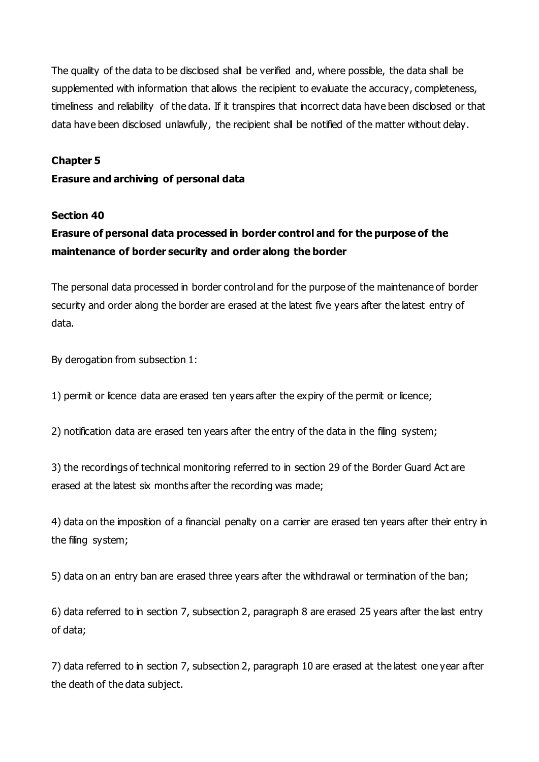The quality of the data to be disclosed shall be verified and, where possible, the data shall be supplemented with information that allows the recipient to evaluate the accuracy, completeness, timeliness and reliability of the data. If it transpires that incorrect data have been disclosed or that data have been disclosed unlawfully, the recipient shall be notified of the matter without delay.

#### **Chapter 5**

#### **Erasure and archiving of personal data**

#### **Section 40**

## **Erasure of personal data processed in border control and for the purpose of the maintenance of border security and order along the border**

The personal data processed in border control and for the purpose of the maintenance of border security and order along the border are erased at the latest five years after the latest entry of data.

By derogation from subsection 1:

1) permit or licence data are erased ten years after the expiry of the permit or licence;

2) notification data are erased ten years after the entry of the data in the filing system;

3) the recordings of technical monitoring referred to in section 29 of the Border Guard Act are erased at the latest six months after the recording was made;

4) data on the imposition of a financial penalty on a carrier are erased ten years after their entry in the filing system;

5) data on an entry ban are erased three years after the withdrawal or termination of the ban;

6) data referred to in section 7, subsection 2, paragraph 8 are erased 25 years after the last entry of data;

7) data referred to in section 7, subsection 2, paragraph 10 are erased at the latest one year after the death of the data subject.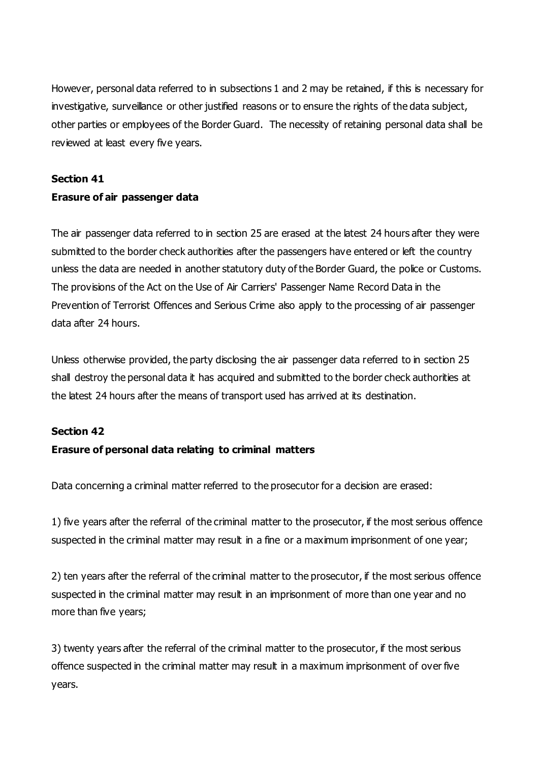However, personal data referred to in subsections 1 and 2 may be retained, if this is necessary for investigative, surveillance or other justified reasons or to ensure the rights of the data subject, other parties or employees of the Border Guard. The necessity of retaining personal data shall be reviewed at least every five years.

#### **Section 41**

### **Erasure of air passenger data**

The air passenger data referred to in section 25 are erased at the latest 24 hours after they were submitted to the border check authorities after the passengers have entered or left the country unless the data are needed in another statutory duty of the Border Guard, the police or Customs. The provisions of the Act on the Use of Air Carriers' Passenger Name Record Data in the Prevention of Terrorist Offences and Serious Crime also apply to the processing of air passenger data after 24 hours.

Unless otherwise provided, the party disclosing the air passenger data referred to in section 25 shall destroy the personal data it has acquired and submitted to the border check authorities at the latest 24 hours after the means of transport used has arrived at its destination.

#### **Section 42**

### **Erasure of personal data relating to criminal matters**

Data concerning a criminal matter referred to the prosecutor for a decision are erased:

1) five years after the referral of the criminal matter to the prosecutor, if the most serious offence suspected in the criminal matter may result in a fine or a maximum imprisonment of one year;

2) ten years after the referral of the criminal matter to the prosecutor, if the most serious offence suspected in the criminal matter may result in an imprisonment of more than one year and no more than five years;

3) twenty years after the referral of the criminal matter to the prosecutor, if the most serious offence suspected in the criminal matter may result in a maximum imprisonment of over five years.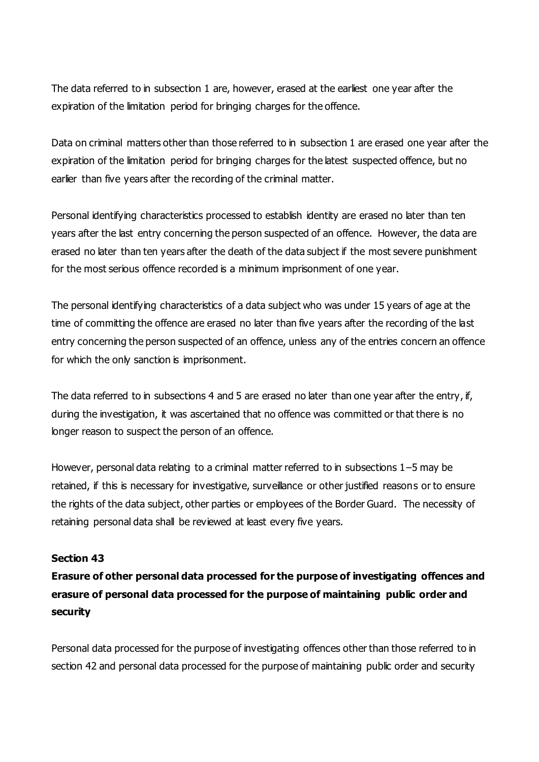The data referred to in subsection 1 are, however, erased at the earliest one year after the expiration of the limitation period for bringing charges for the offence.

Data on criminal matters other than those referred to in subsection 1 are erased one year after the expiration of the limitation period for bringing charges for the latest suspected offence, but no earlier than five years after the recording of the criminal matter.

Personal identifying characteristics processed to establish identity are erased no later than ten years after the last entry concerning the person suspected of an offence. However, the data are erased no later than ten years after the death of the data subject if the most severe punishment for the most serious offence recorded is a minimum imprisonment of one year.

The personal identifying characteristics of a data subject who was under 15 years of age at the time of committing the offence are erased no later than five years after the recording of the last entry concerning the person suspected of an offence, unless any of the entries concern an offence for which the only sanction is imprisonment.

The data referred to in subsections 4 and 5 are erased no later than one year after the entry, if, during the investigation, it was ascertained that no offence was committed or that there is no longer reason to suspect the person of an offence.

However, personal data relating to a criminal matter referred to in subsections 1–5 may be retained, if this is necessary for investigative, surveillance or other justified reasons or to ensure the rights of the data subject, other parties or employees of the Border Guard. The necessity of retaining personal data shall be reviewed at least every five years.

### **Section 43**

**Erasure of other personal data processed for the purpose of investigating offences and erasure of personal data processed for the purpose of maintaining public order and security**

Personal data processed for the purpose of investigating offences other than those referred to in section 42 and personal data processed for the purpose of maintaining public order and security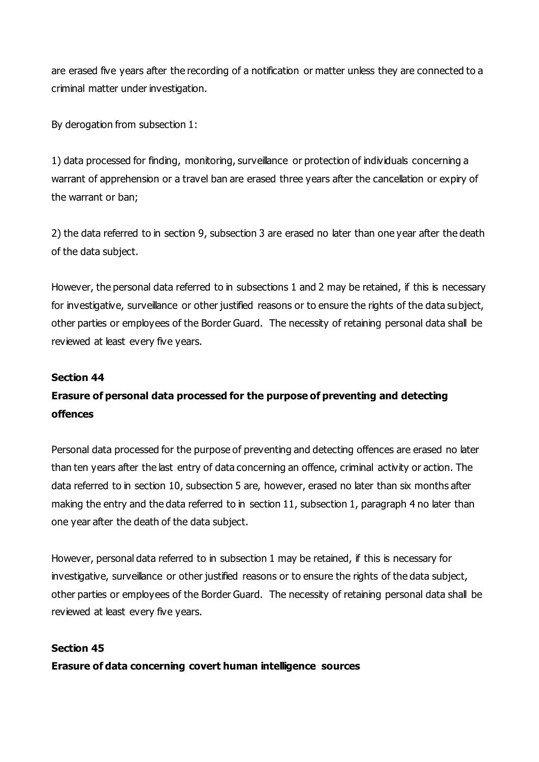are erased five years after the recording of a notification or matter unless they are connected to a criminal matter under investigation.

By derogation from subsection 1:

1) data processed for finding, monitoring, surveillance or protection of individuals concerning a warrant of apprehension or a travel ban are erased three years after the cancellation or expiry of the warrant or ban;

2) the data referred to in section 9, subsection 3 are erased no later than one year after the death of the data subject.

However, the personal data referred to in subsections 1 and 2 may be retained, if this is necessary for investigative, surveillance or other justified reasons or to ensure the rights of the data subject, other parties or employees of the Border Guard. The necessity of retaining personal data shall be reviewed at least every five years.

#### **Section 44**

## **Erasure of personal data processed for the purpose of preventing and detecting offences**

Personal data processed for the purpose of preventing and detecting offences are erased no later than ten years after the last entry of data concerning an offence, criminal activity or action. The data referred to in section 10, subsection 5 are, however, erased no later than six months after making the entry and the data referred to in section 11, subsection 1, paragraph 4 no later than one year after the death of the data subject.

However, personal data referred to in subsection 1 may be retained, if this is necessary for investigative, surveillance or other justified reasons or to ensure the rights of the data subject, other parties or employees of the Border Guard. The necessity of retaining personal data shall be reviewed at least every five years.

#### **Section 45**

**Erasure of data concerning covert human intelligence sources**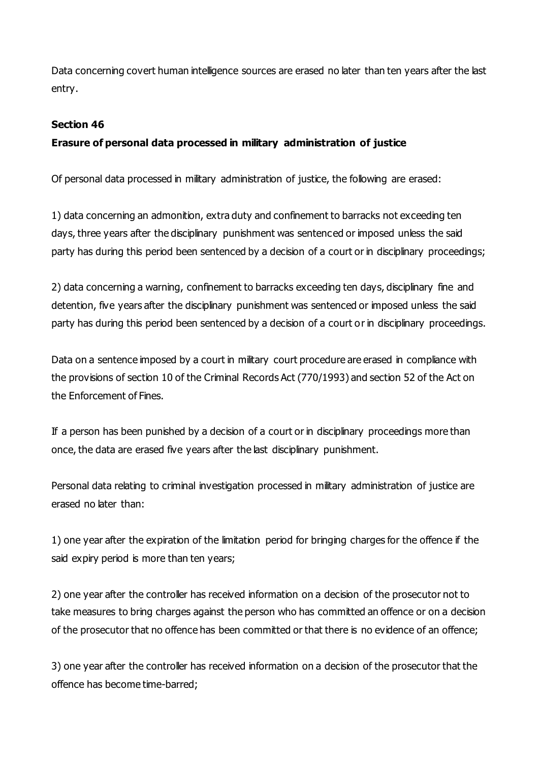Data concerning covert human intelligence sources are erased no later than ten years after the last entry.

### **Section 46**

## **Erasure of personal data processed in military administration of justice**

Of personal data processed in military administration of justice, the following are erased:

1) data concerning an admonition, extra duty and confinement to barracks not exceeding ten days, three years after the disciplinary punishment was sentenced or imposed unless the said party has during this period been sentenced by a decision of a court or in disciplinary proceedings;

2) data concerning a warning, confinement to barracks exceeding ten days, disciplinary fine and detention, five years after the disciplinary punishment was sentenced or imposed unless the said party has during this period been sentenced by a decision of a court or in disciplinary proceedings.

Data on a sentence imposed by a court in military court procedure are erased in compliance with the provisions of section 10 of the Criminal Records Act (770/1993) and section 52 of the Act on the Enforcement of Fines.

If a person has been punished by a decision of a court or in disciplinary proceedings more than once, the data are erased five years after the last disciplinary punishment.

Personal data relating to criminal investigation processed in military administration of justice are erased no later than:

1) one year after the expiration of the limitation period for bringing charges for the offence if the said expiry period is more than ten years;

2) one year after the controller has received information on a decision of the prosecutor not to take measures to bring charges against the person who has committed an offence or on a decision of the prosecutor that no offence has been committed or that there is no evidence of an offence;

3) one year after the controller has received information on a decision of the prosecutor that the offence has become time-barred;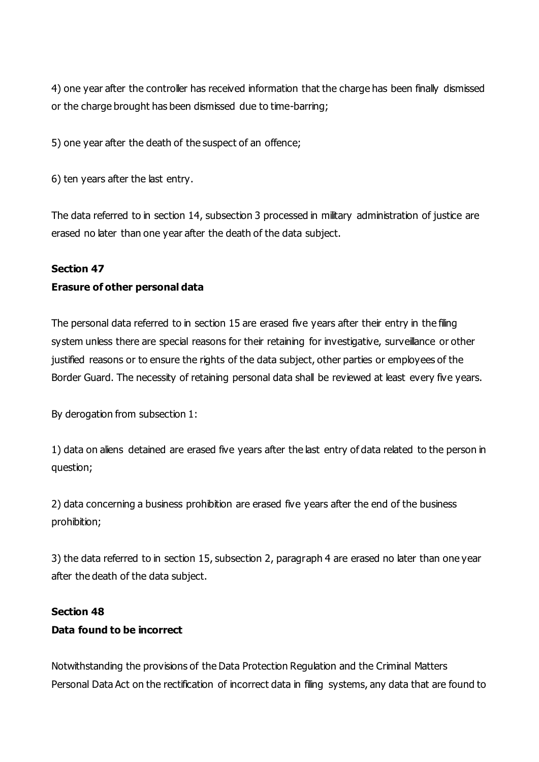4) one year after the controller has received information that the charge has been finally dismissed or the charge brought has been dismissed due to time-barring;

5) one year after the death of the suspect of an offence;

6) ten years after the last entry.

The data referred to in section 14, subsection 3 processed in military administration of justice are erased no later than one year after the death of the data subject.

#### **Section 47**

### **Erasure of other personal data**

The personal data referred to in section 15 are erased five years after their entry in the filing system unless there are special reasons for their retaining for investigative, surveillance or other justified reasons or to ensure the rights of the data subject, other parties or employees of the Border Guard. The necessity of retaining personal data shall be reviewed at least every five years.

By derogation from subsection 1:

1) data on aliens detained are erased five years after the last entry of data related to the person in question;

2) data concerning a business prohibition are erased five years after the end of the business prohibition;

3) the data referred to in section 15, subsection 2, paragraph 4 are erased no later than one year after the death of the data subject.

#### **Section 48**

### **Data found to be incorrect**

Notwithstanding the provisions of the Data Protection Regulation and the Criminal Matters Personal Data Act on the rectification of incorrect data in filing systems, any data that are found to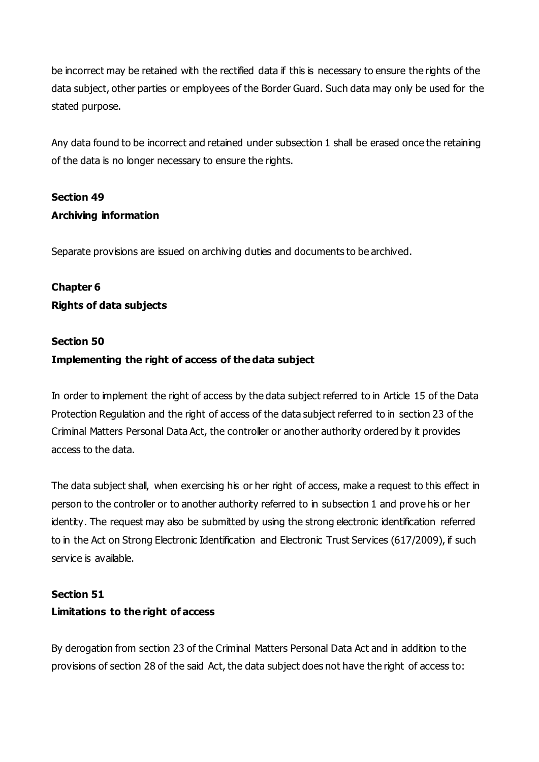be incorrect may be retained with the rectified data if this is necessary to ensure the rights of the data subject, other parties or employees of the Border Guard. Such data may only be used for the stated purpose.

Any data found to be incorrect and retained under subsection 1 shall be erased once the retaining of the data is no longer necessary to ensure the rights.

# **Section 49 Archiving information**

Separate provisions are issued on archiving duties and documents to be archived.

# **Chapter 6 Rights of data subjects**

# **Section 50 Implementing the right of access of the data subject**

In order to implement the right of access by the data subject referred to in Article 15 of the Data Protection Regulation and the right of access of the data subject referred to in section 23 of the Criminal Matters Personal Data Act, the controller or another authority ordered by it provides access to the data.

The data subject shall, when exercising his or her right of access, make a request to this effect in person to the controller or to another authority referred to in subsection 1 and prove his or her identity. The request may also be submitted by using the strong electronic identification referred to in the Act on Strong Electronic Identification and Electronic Trust Services (617/2009), if such service is available.

# **Section 51 Limitations to the right of access**

By derogation from section 23 of the Criminal Matters Personal Data Act and in addition to the provisions of section 28 of the said Act, the data subject does not have the right of access to: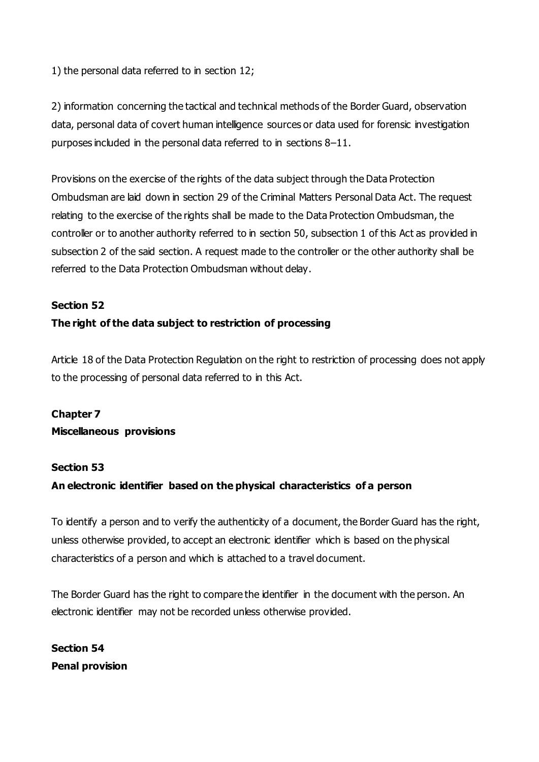1) the personal data referred to in section 12;

2) information concerning the tactical and technical methods of the Border Guard, observation data, personal data of covert human intelligence sources or data used for forensic investigation purposes included in the personal data referred to in sections 8–11.

Provisions on the exercise of the rights of the data subject through the Data Protection Ombudsman are laid down in section 29 of the Criminal Matters Personal Data Act. The request relating to the exercise of the rights shall be made to the Data Protection Ombudsman, the controller or to another authority referred to in section 50, subsection 1 of this Act as provided in subsection 2 of the said section. A request made to the controller or the other authority shall be referred to the Data Protection Ombudsman without delay.

### **Section 52**

## **The right of the data subject to restriction of processing**

Article 18 of the Data Protection Regulation on the right to restriction of processing does not apply to the processing of personal data referred to in this Act.

## **Chapter 7 Miscellaneous provisions**

### **Section 53**

## **An electronic identifier based on the physical characteristics of a person**

To identify a person and to verify the authenticity of a document, the Border Guard has the right, unless otherwise provided, to accept an electronic identifier which is based on the physical characteristics of a person and which is attached to a travel document.

The Border Guard has the right to compare the identifier in the document with the person. An electronic identifier may not be recorded unless otherwise provided.

**Section 54 Penal provision**